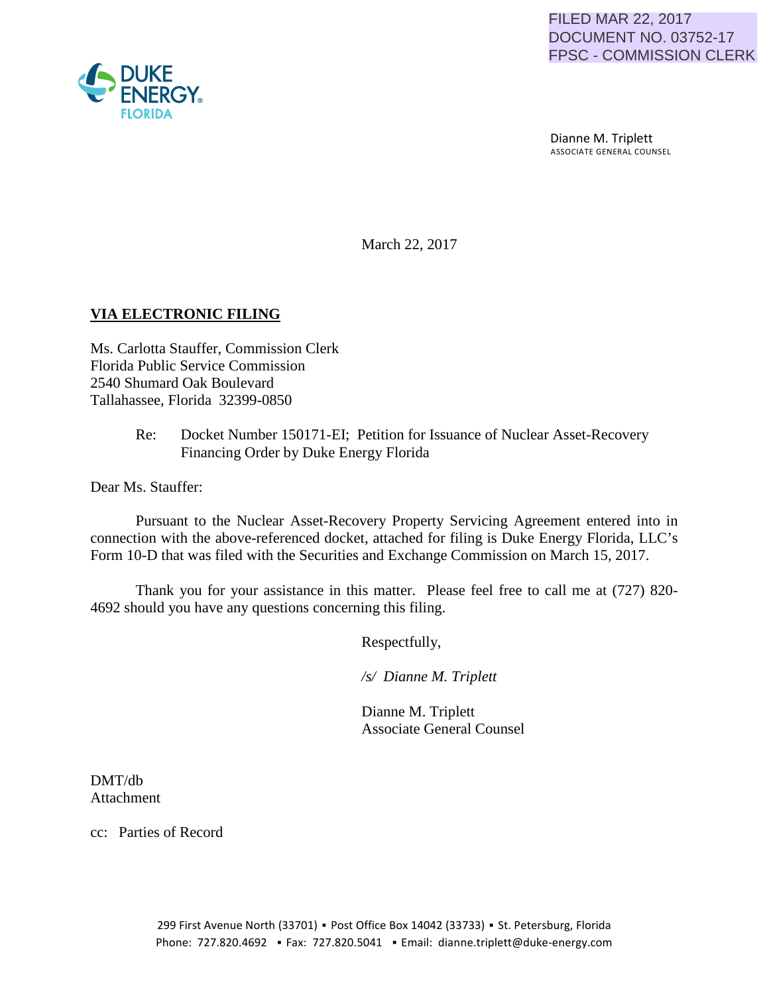

 Dianne M. Triplett ASSOCIATE GENERAL COUNSEL

March 22, 2017

# **VIA ELECTRONIC FILING**

Ms. Carlotta Stauffer, Commission Clerk Florida Public Service Commission 2540 Shumard Oak Boulevard Tallahassee, Florida 32399-0850

> Re: Docket Number 150171-EI; Petition for Issuance of Nuclear Asset-Recovery Financing Order by Duke Energy Florida

Dear Ms. Stauffer:

Pursuant to the Nuclear Asset-Recovery Property Servicing Agreement entered into in connection with the above-referenced docket, attached for filing is Duke Energy Florida, LLC's Form 10-D that was filed with the Securities and Exchange Commission on March 15, 2017.

Thank you for your assistance in this matter. Please feel free to call me at (727) 820- 4692 should you have any questions concerning this filing.

Respectfully,

 */s/ Dianne M. Triplett*

 Dianne M. Triplett Associate General Counsel

DMT/db Attachment

cc: Parties of Record

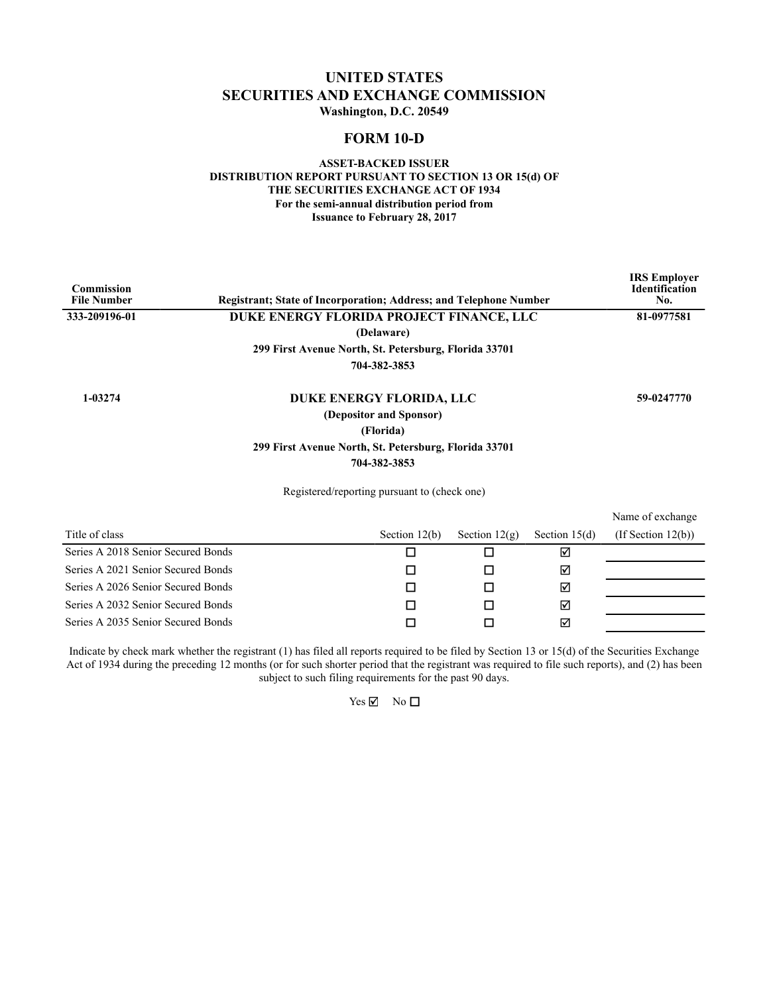# **UNITED STATES SECURITIES AND EXCHANGE COMMISSION Washington, D.C. 20549**

# **FORM 10-D**

## **ASSET-BACKED ISSUER DISTRIBUTION REPORT PURSUANT TO SECTION 13 OR 15(d) OF THE SECURITIES EXCHANGE ACT OF 1934 For the semi-annual distribution period from Issuance to February 28, 2017**

| <b>Commission</b><br><b>File Number</b> | <b>Registrant: State of Incorporation: Address: and Telephone Number</b> |                                                                                  |                 |                 | <b>IRS</b> Employer<br><b>Identification</b><br>No. |
|-----------------------------------------|--------------------------------------------------------------------------|----------------------------------------------------------------------------------|-----------------|-----------------|-----------------------------------------------------|
| 333-209196-01                           | DUKE ENERGY FLORIDA PROJECT FINANCE, LLC                                 |                                                                                  |                 |                 | 81-0977581                                          |
|                                         |                                                                          | (Delaware)                                                                       |                 |                 |                                                     |
|                                         | 299 First Avenue North, St. Petersburg, Florida 33701                    |                                                                                  |                 |                 |                                                     |
|                                         |                                                                          | 704-382-3853                                                                     |                 |                 |                                                     |
| 1-03274                                 | 299 First Avenue North, St. Petersburg, Florida 33701                    | DUKE ENERGY FLORIDA, LLC<br>(Depositor and Sponsor)<br>(Florida)<br>704-382-3853 |                 |                 | 59-0247770                                          |
|                                         |                                                                          | Registered/reporting pursuant to (check one)                                     |                 |                 |                                                     |
|                                         |                                                                          |                                                                                  |                 |                 | Name of exchange                                    |
| Title of class                          |                                                                          | Section $12(b)$                                                                  | Section $12(g)$ | Section $15(d)$ | $($ If Section 12 $(b)$ $)$                         |
| Series A 2018 Senior Secured Bonds      |                                                                          | п                                                                                | п               | ☑               |                                                     |
| Series A 2021 Senior Secured Bonds      |                                                                          | □                                                                                | □               | ☑               |                                                     |

Series A 2021 Senior Secured Bonds  $\Box$  $\Box$ Series A 2026 Senior Secured Bonds  $\Box$  $\Box$ 

 $\Box$  $\Box$ Series A 2032 Senior Secured Bonds Series A 2035 Senior Secured Bonds  $\Box$  $\Box$ 

Indicate by check mark whether the registrant (1) has filed all reports required to be filed by Section 13 or 15(d) of the Securities Exchange Act of 1934 during the preceding 12 months (or for such shorter period that the registrant was required to file such reports), and (2) has been subject to such filing requirements for the past 90 days.

 $\overline{\mathsf{S}}$ 

☑

 $\overline{\mathbf{v}}$ 

 $Yes \nightharpoonup$  No  $\square$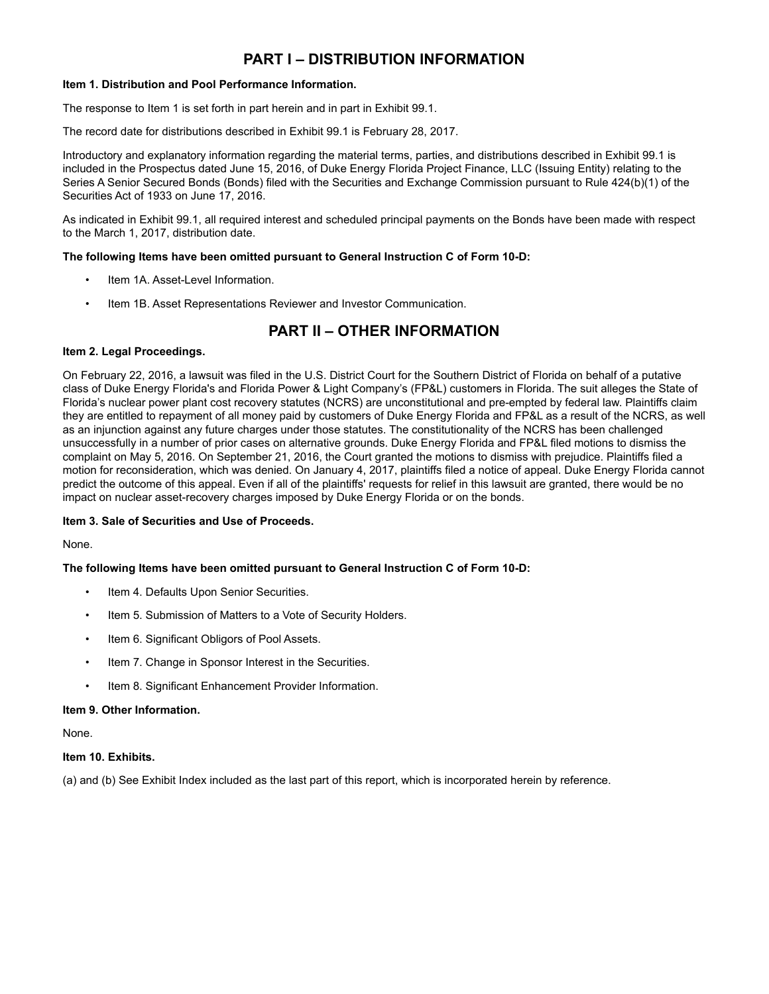# **PART I – DISTRIBUTION INFORMATION**

## **Item 1. Distribution and Pool Performance Information.**

The response to Item 1 is set forth in part herein and in part in Exhibit 99.1.

The record date for distributions described in Exhibit 99.1 is February 28, 2017.

Introductory and explanatory information regarding the material terms, parties, and distributions described in Exhibit 99.1 is included in the Prospectus dated June 15, 2016, of Duke Energy Florida Project Finance, LLC (Issuing Entity) relating to the Series A Senior Secured Bonds (Bonds) filed with the Securities and Exchange Commission pursuant to Rule 424(b)(1) of the Securities Act of 1933 on June 17, 2016.

As indicated in Exhibit 99.1, all required interest and scheduled principal payments on the Bonds have been made with respect to the March 1, 2017, distribution date.

## **The following Items have been omitted pursuant to General Instruction C of Form 10-D:**

- Item 1A. Asset-Level Information.
- Item 1B. Asset Representations Reviewer and Investor Communication.

# **PART II – OTHER INFORMATION**

# **Item 2. Legal Proceedings.**

On February 22, 2016, a lawsuit was filed in the U.S. District Court for the Southern District of Florida on behalf of a putative class of Duke Energy Florida's and Florida Power & Light Company's (FP&L) customers in Florida. The suit alleges the State of Florida's nuclear power plant cost recovery statutes (NCRS) are unconstitutional and pre-empted by federal law. Plaintiffs claim they are entitled to repayment of all money paid by customers of Duke Energy Florida and FP&L as a result of the NCRS, as well as an injunction against any future charges under those statutes. The constitutionality of the NCRS has been challenged unsuccessfully in a number of prior cases on alternative grounds. Duke Energy Florida and FP&L filed motions to dismiss the complaint on May 5, 2016. On September 21, 2016, the Court granted the motions to dismiss with prejudice. Plaintiffs filed a motion for reconsideration, which was denied. On January 4, 2017, plaintiffs filed a notice of appeal. Duke Energy Florida cannot predict the outcome of this appeal. Even if all of the plaintiffs' requests for relief in this lawsuit are granted, there would be no impact on nuclear asset-recovery charges imposed by Duke Energy Florida or on the bonds.

### **Item 3. Sale of Securities and Use of Proceeds.**

None.

# **The following Items have been omitted pursuant to General Instruction C of Form 10-D:**

- Item 4. Defaults Upon Senior Securities.
- Item 5. Submission of Matters to a Vote of Security Holders.
- Item 6. Significant Obligors of Pool Assets.
- Item 7. Change in Sponsor Interest in the Securities.
- Item 8. Significant Enhancement Provider Information.

### **Item 9. Other Information.**

None.

### **Item 10. Exhibits.**

(a) and (b) See Exhibit Index included as the last part of this report, which is incorporated herein by reference.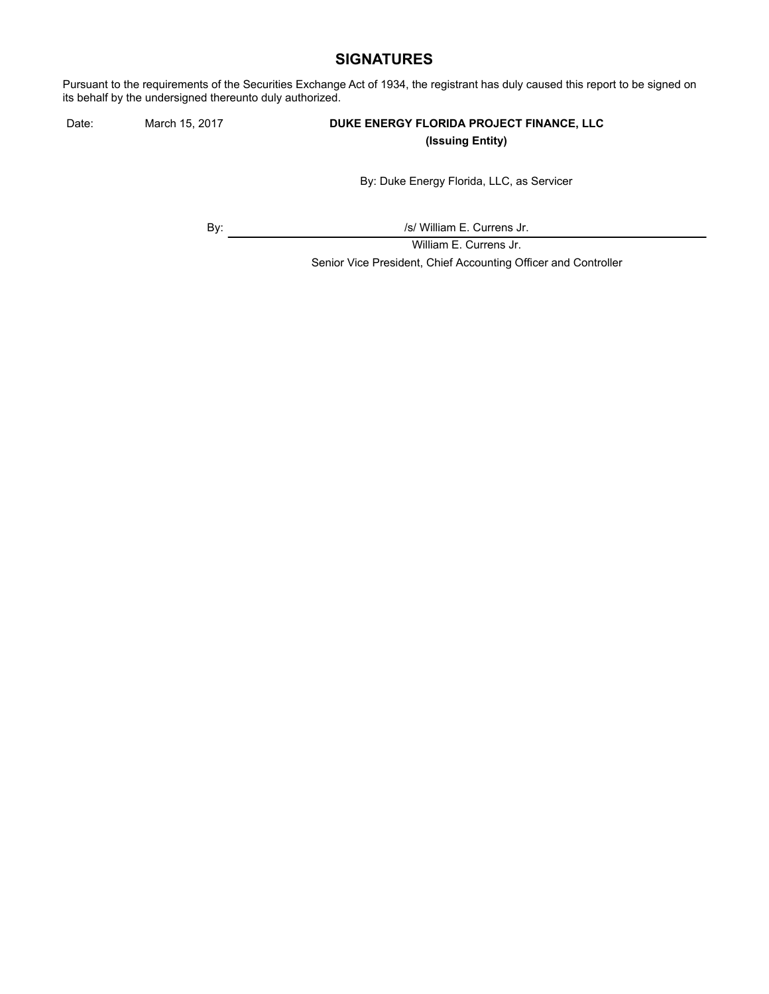# **SIGNATURES**

Pursuant to the requirements of the Securities Exchange Act of 1934, the registrant has duly caused this report to be signed on its behalf by the undersigned thereunto duly authorized.

# Date: March 15, 2017 **DUKE ENERGY FLORIDA PROJECT FINANCE, LLC (Issuing Entity)**

By: Duke Energy Florida, LLC, as Servicer

By:  $\sqrt{s}$  /s/ William E. Currens Jr.

William E. Currens Jr. Senior Vice President, Chief Accounting Officer and Controller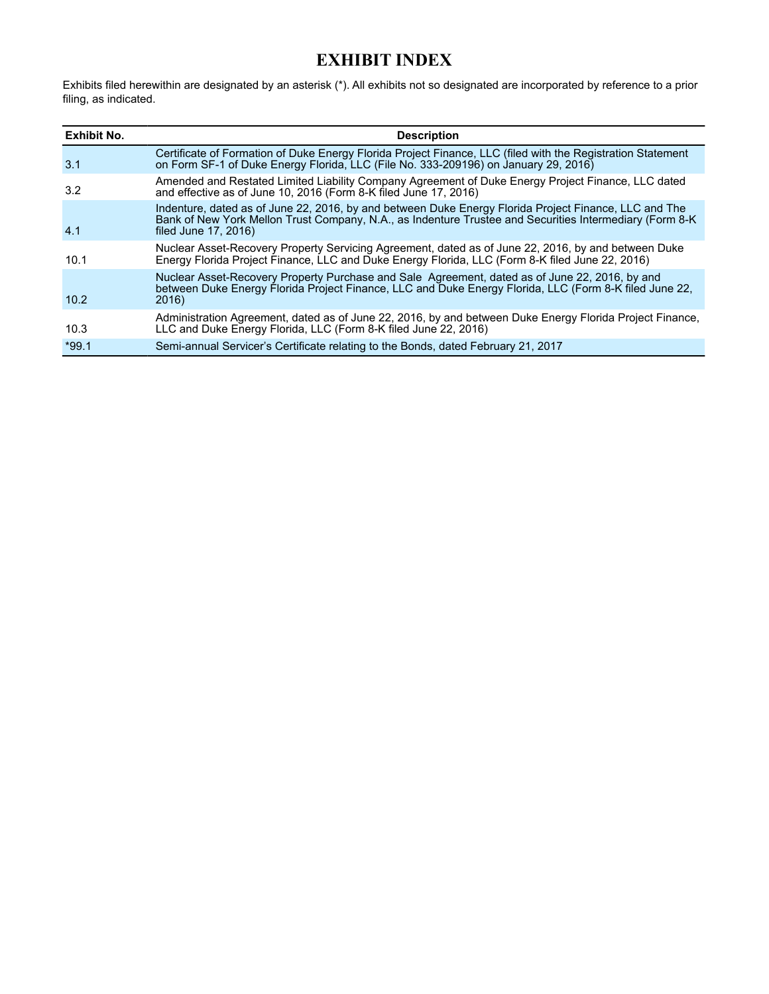# **EXHIBIT INDEX**

Exhibits filed herewithin are designated by an asterisk (\*). All exhibits not so designated are incorporated by reference to a prior filing, as indicated.

| <b>Exhibit No.</b> | <b>Description</b>                                                                                                                                                                                                                        |
|--------------------|-------------------------------------------------------------------------------------------------------------------------------------------------------------------------------------------------------------------------------------------|
| 3.1                | Certificate of Formation of Duke Energy Florida Project Finance, LLC (filed with the Registration Statement<br>on Form SF-1 of Duke Energy Florida, LLC (File No. 333-209196) on January 29, 2016)                                        |
| 3.2                | Amended and Restated Limited Liability Company Agreement of Duke Energy Project Finance, LLC dated<br>and effective as of June 10, 2016 (Form 8-K filed June 17, 2016)                                                                    |
| 4.1                | Indenture, dated as of June 22, 2016, by and between Duke Energy Florida Project Finance, LLC and The<br>Bank of New York Mellon Trust Company, N.A., as Indenture Trustee and Securities Intermediary (Form 8-K)<br>filed June 17, 2016) |
| 10.1               | Nuclear Asset-Recovery Property Servicing Agreement, dated as of June 22, 2016, by and between Duke<br>Energy Florida Project Finance, LLC and Duke Energy Florida, LLC (Form 8-K filed June 22, 2016)                                    |
| 10.2               | Nuclear Asset-Recovery Property Purchase and Sale Agreement, dated as of June 22, 2016, by and<br>between Duke Energy Florida Project Finance, LLC and Duke Energy Florida, LLC (Form 8-K filed June 22,<br>2016)                         |
| 10.3               | Administration Agreement, dated as of June 22, 2016, by and between Duke Energy Florida Project Finance,<br>LLC and Duke Energy Florida, LLC (Form 8-K filed June 22, 2016)                                                               |
| $*99.1$            | Semi-annual Servicer's Certificate relating to the Bonds, dated February 21, 2017                                                                                                                                                         |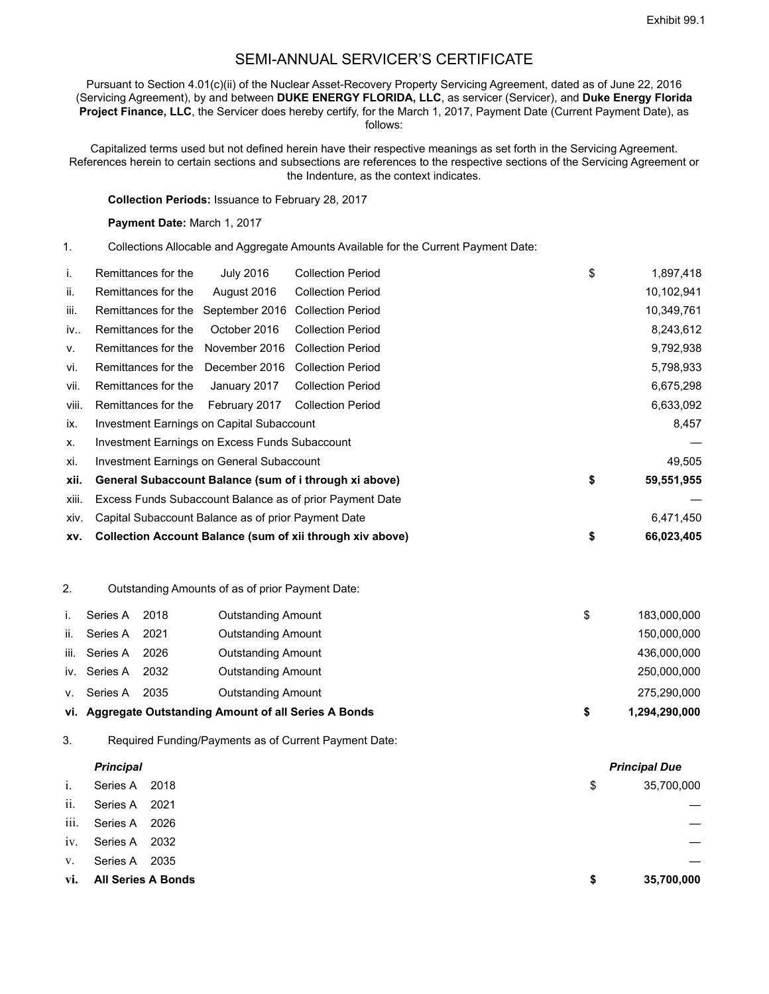# SEMI-ANNUAL SERVICER'S CERTIFICATE

Pursuant to Section 4.01(c)(ii) of the Nuclear Asset-Recovery Property Servicing Agreement, dated as of June 22, 2016 (Servicing Agreement), by and between **DUKE ENERGY FLORIDA, LLC**, as servicer (Servicer), and **Duke Energy Florida Project Finance, LLC**, the Servicer does hereby certify, for the March 1, 2017, Payment Date (Current Payment Date), as follows:

Capitalized terms used but not defined herein have their respective meanings as set forth in the Servicing Agreement. References herein to certain sections and subsections are references to the respective sections of the Servicing Agreement or the Indenture, as the context indicates.

## **Collection Periods:** Issuance to February 28, 2017

#### **Payment Date:** March 1, 2017

1. Collections Allocable and Aggregate Amounts Available for the Current Payment Date:

| j.    | Remittances for the                                      | <b>July 2016</b> | <b>Collection Period</b>                                  | \$ | 1,897,418  |
|-------|----------------------------------------------------------|------------------|-----------------------------------------------------------|----|------------|
| II.   | Remittances for the                                      | August 2016      | <b>Collection Period</b>                                  |    | 10,102,941 |
| iii.  | Remittances for the                                      | September 2016   | <b>Collection Period</b>                                  |    | 10,349,761 |
| iv    | Remittances for the                                      | October 2016     | <b>Collection Period</b>                                  |    | 8,243,612  |
| ν.    | Remittances for the                                      | November 2016    | <b>Collection Period</b>                                  |    | 9,792,938  |
| vi.   | Remittances for the                                      | December 2016    | <b>Collection Period</b>                                  |    | 5,798,933  |
| vii.  | Remittances for the                                      | January 2017     | <b>Collection Period</b>                                  |    | 6,675,298  |
| viii. | Remittances for the                                      | February 2017    | <b>Collection Period</b>                                  |    | 6,633,092  |
| ix.   | Investment Earnings on Capital Subaccount                |                  | 8,457                                                     |    |            |
| Х.    | Investment Earnings on Excess Funds Subaccount           |                  |                                                           |    |            |
| xi.   | Investment Earnings on General Subaccount                |                  |                                                           |    | 49,505     |
| xii.  |                                                          |                  | General Subaccount Balance (sum of i through xi above)    | \$ | 59,551,955 |
| xiii. | Excess Funds Subaccount Balance as of prior Payment Date |                  |                                                           |    |            |
| XIV.  | Capital Subaccount Balance as of prior Payment Date      |                  |                                                           |    | 6,471,450  |
| XV.   |                                                          |                  | Collection Account Balance (sum of xii through xiv above) | \$ | 66,023,405 |

# 2. Outstanding Amounts of as of prior Payment Date:

|      | Series A     | 2018 | <b>Outstanding Amount</b>                              | S. | 183.000.000   |
|------|--------------|------|--------------------------------------------------------|----|---------------|
| ii.  | Series A     | 2021 | <b>Outstanding Amount</b>                              |    | 150,000,000   |
| iii. | Series A     | 2026 | <b>Outstanding Amount</b>                              |    | 436,000,000   |
|      | iv. Series A | 2032 | <b>Outstanding Amount</b>                              |    | 250,000,000   |
| V.   | Series A     | 2035 | <b>Outstanding Amount</b>                              |    | 275,290,000   |
|      |              |      | vi. Aggregate Outstanding Amount of all Series A Bonds |    | 1,294,290,000 |

3. Required Funding/Payments as of Current Payment Date:

|       | <b>Principal</b>          |      |    | <b>Principal Due</b> |
|-------|---------------------------|------|----|----------------------|
| $i$ . | Series A                  | 2018 | \$ | 35,700,000           |
| ii.   | Series A                  | 2021 |    |                      |
| iii.  | Series A                  | 2026 |    |                      |
| iv.   | Series A                  | 2032 |    |                      |
| V.    | Series A                  | 2035 |    |                      |
| vi.   | <b>All Series A Bonds</b> |      | S  | 35,700,000           |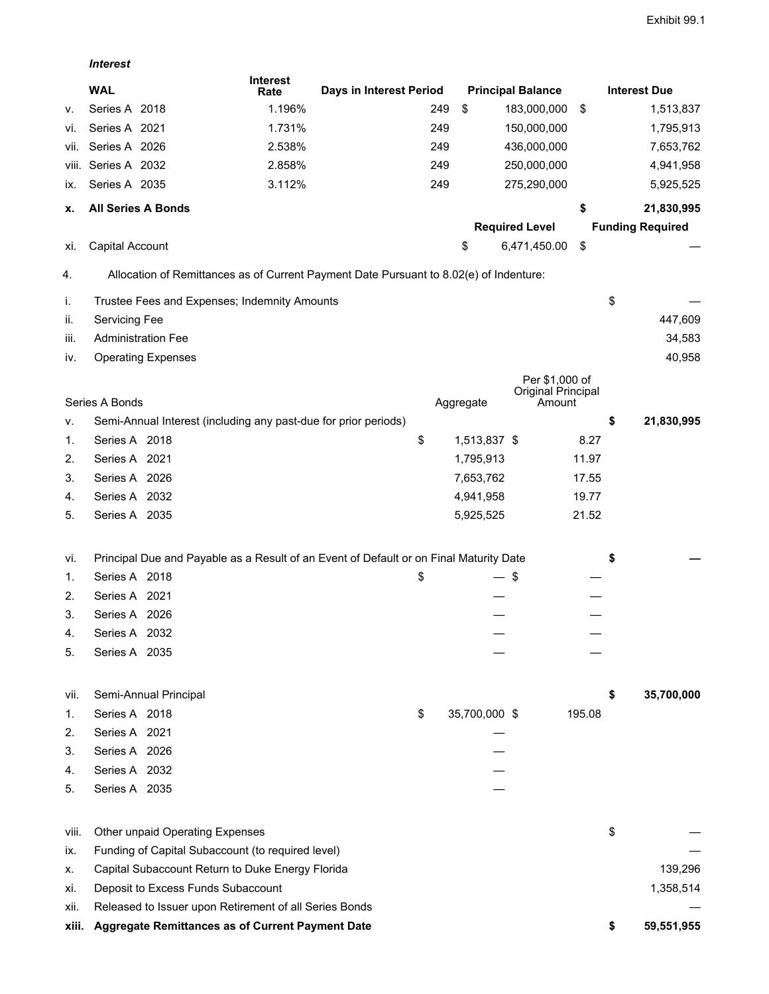*Interest*

|       | <b>WAL</b>                                                                             | <b>Interest</b><br>Rate                                                                | Days in Interest Period |     |               | <b>Principal Balance</b>     |        | <b>Interest Due</b>     |
|-------|----------------------------------------------------------------------------------------|----------------------------------------------------------------------------------------|-------------------------|-----|---------------|------------------------------|--------|-------------------------|
| ν.    | Series A 2018                                                                          | 1.196%                                                                                 |                         | 249 | \$            | 183,000,000                  | \$     | 1,513,837               |
| Vİ.   | Series A 2021                                                                          | 1.731%                                                                                 |                         | 249 |               | 150,000,000                  |        | 1,795,913               |
| VII.  | Series A 2026                                                                          | 2.538%                                                                                 |                         | 249 |               | 436,000,000                  |        | 7,653,762               |
| viii. | Series A 2032                                                                          | 2.858%                                                                                 |                         | 249 |               | 250,000,000                  |        | 4,941,958               |
| İX.   | Series A 2035                                                                          | 3.112%                                                                                 |                         | 249 |               | 275,290,000                  |        | 5,925,525               |
| х.    | <b>All Series A Bonds</b>                                                              |                                                                                        |                         |     |               |                              | \$     | 21,830,995              |
|       |                                                                                        |                                                                                        |                         |     |               | <b>Required Level</b>        |        | <b>Funding Required</b> |
| XI.   | Capital Account                                                                        |                                                                                        |                         |     | \$            | 6,471,450.00                 | \$     |                         |
| 4.    |                                                                                        | Allocation of Remittances as of Current Payment Date Pursuant to 8.02(e) of Indenture: |                         |     |               |                              |        |                         |
| İ.    | Trustee Fees and Expenses; Indemnity Amounts                                           |                                                                                        |                         |     |               |                              |        | \$                      |
| ii.   | Servicing Fee                                                                          |                                                                                        |                         |     |               |                              |        | 447,609                 |
| iii.  | <b>Administration Fee</b>                                                              |                                                                                        |                         |     |               |                              |        | 34,583                  |
| IV.   | <b>Operating Expenses</b>                                                              |                                                                                        |                         |     |               |                              |        | 40,958                  |
|       |                                                                                        |                                                                                        |                         |     |               | Per \$1,000 of               |        |                         |
|       | Series A Bonds                                                                         |                                                                                        |                         |     | Aggregate     | Original Principal<br>Amount |        |                         |
| ν.    | Semi-Annual Interest (including any past-due for prior periods)                        |                                                                                        |                         |     |               |                              |        | \$<br>21,830,995        |
| 1.    | Series A 2018                                                                          |                                                                                        |                         | \$  | 1,513,837 \$  |                              | 8.27   |                         |
| 2.    | Series A 2021                                                                          |                                                                                        |                         |     | 1,795,913     |                              | 11.97  |                         |
| 3.    | Series A 2026                                                                          |                                                                                        |                         |     | 7,653,762     |                              | 17.55  |                         |
| 4.    | Series A 2032                                                                          |                                                                                        |                         |     | 4,941,958     |                              | 19.77  |                         |
| 5.    | Series A 2035                                                                          |                                                                                        |                         |     | 5,925,525     |                              | 21.52  |                         |
| Vİ.   | Principal Due and Payable as a Result of an Event of Default or on Final Maturity Date |                                                                                        |                         |     |               |                              |        | \$                      |
| 1.    | Series A 2018                                                                          |                                                                                        |                         | \$  |               | \$                           |        |                         |
| 2.    | Series A 2021                                                                          |                                                                                        |                         |     |               |                              |        |                         |
| 3.    | Series A 2026                                                                          |                                                                                        |                         |     |               |                              |        |                         |
| 4.    | Series A 2032                                                                          |                                                                                        |                         |     |               |                              |        |                         |
| 5.    | Series A 2035                                                                          |                                                                                        |                         |     |               |                              |        |                         |
| VII.  | Semi-Annual Principal                                                                  |                                                                                        |                         |     |               |                              |        | \$<br>35,700,000        |
| 1.    | Series A 2018                                                                          |                                                                                        |                         | \$  | 35,700,000 \$ |                              | 195.08 |                         |
| 2.    | Series A 2021                                                                          |                                                                                        |                         |     |               |                              |        |                         |
| 3.    | Series A 2026                                                                          |                                                                                        |                         |     |               |                              |        |                         |
| 4.    | Series A 2032                                                                          |                                                                                        |                         |     |               |                              |        |                         |
| 5.    | Series A 2035                                                                          |                                                                                        |                         |     |               |                              |        |                         |
| viii. | Other unpaid Operating Expenses                                                        |                                                                                        |                         |     |               |                              |        | \$                      |
| İX.   | Funding of Capital Subaccount (to required level)                                      |                                                                                        |                         |     |               |                              |        |                         |
| Х.    | Capital Subaccount Return to Duke Energy Florida                                       |                                                                                        |                         |     |               |                              |        | 139,296                 |
| Xİ.   | Deposit to Excess Funds Subaccount                                                     |                                                                                        |                         |     |               |                              |        | 1,358,514               |
| xii.  | Released to Issuer upon Retirement of all Series Bonds                                 |                                                                                        |                         |     |               |                              |        |                         |
| xiii. | Aggregate Remittances as of Current Payment Date                                       |                                                                                        |                         |     |               |                              |        | \$<br>59,551,955        |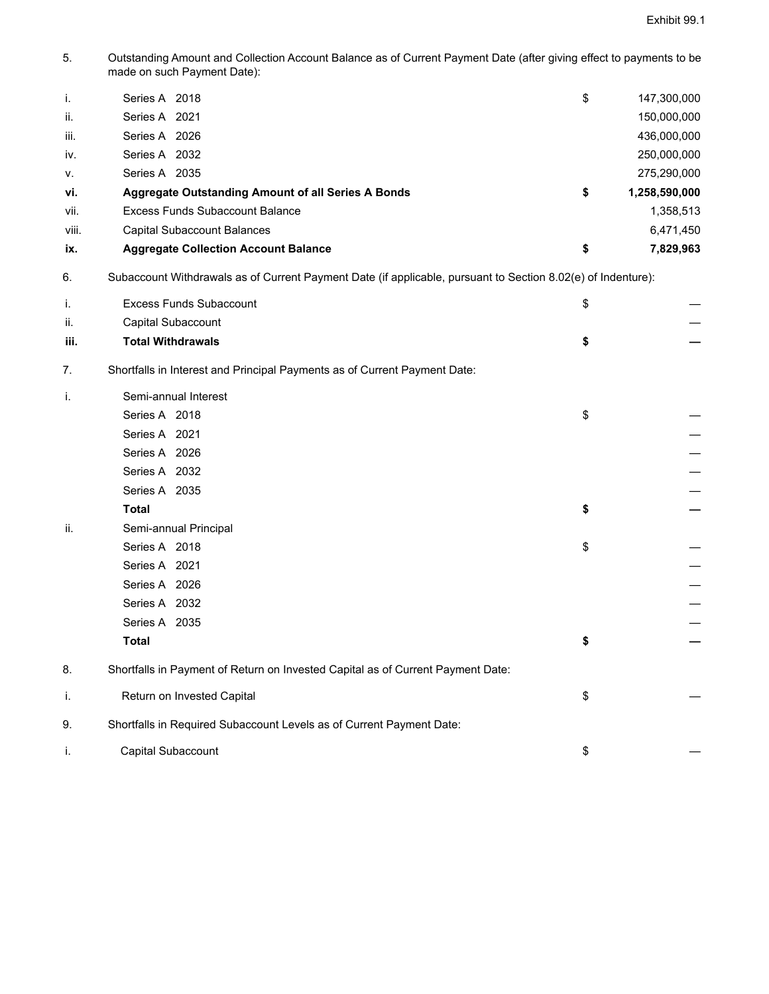5. Outstanding Amount and Collection Account Balance as of Current Payment Date (after giving effect to payments to be made on such Payment Date):

| i.    | Series A 2018                                             | \$<br>147,300,000   |
|-------|-----------------------------------------------------------|---------------------|
| ii.   | Series A 2021                                             | 150,000,000         |
| iii.  | Series A 2026                                             | 436,000,000         |
| iv.   | Series A 2032                                             | 250,000,000         |
| V.    | Series A 2035                                             | 275,290,000         |
| vi.   | <b>Aggregate Outstanding Amount of all Series A Bonds</b> | \$<br>1,258,590,000 |
| vii.  | Excess Funds Subaccount Balance                           | 1,358,513           |
| viii. | Capital Subaccount Balances                               | 6,471,450           |
| ix.   | <b>Aggregate Collection Account Balance</b>               | \$<br>7,829,963     |

6. Subaccount Withdrawals as of Current Payment Date (if applicable, pursuant to Section 8.02(e) of Indenture):

| i.   | <b>Excess Funds Subaccount</b>                                                  | \$ |
|------|---------------------------------------------------------------------------------|----|
| ii.  | Capital Subaccount                                                              |    |
| iii. | <b>Total Withdrawals</b>                                                        | \$ |
| 7.   | Shortfalls in Interest and Principal Payments as of Current Payment Date:       |    |
| i.   | Semi-annual Interest                                                            |    |
|      | Series A 2018                                                                   | \$ |
|      | Series A 2021                                                                   |    |
|      | Series A 2026                                                                   |    |
|      | Series A 2032                                                                   |    |
|      | Series A 2035                                                                   |    |
|      | <b>Total</b>                                                                    | \$ |
| ii.  | Semi-annual Principal                                                           |    |
|      | Series A 2018                                                                   | \$ |
|      | Series A 2021                                                                   |    |
|      | Series A 2026                                                                   |    |
|      | Series A 2032                                                                   |    |
|      | Series A 2035                                                                   |    |
|      | <b>Total</b>                                                                    | \$ |
| 8.   | Shortfalls in Payment of Return on Invested Capital as of Current Payment Date: |    |
| i.   | Return on Invested Capital                                                      | \$ |
| 9.   | Shortfalls in Required Subaccount Levels as of Current Payment Date:            |    |
| j.   | Capital Subaccount                                                              | \$ |